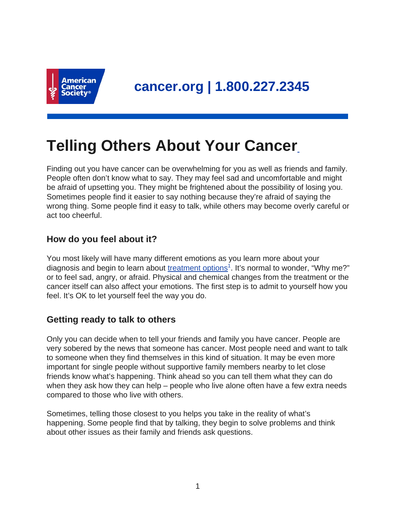

# **Telling Others About Your Cancer**

Finding out you have cancer can be overwhelming for you as well as friends and family. People often don't know what to say. They may feel sad and uncomfortable and might be afraid of upsetting you. They might be frightened about the possibility of losing you. Sometimes people find it easier to say nothing because they're afraid of saying the wrong thing. Some people find it easy to talk, while others may become overly careful or act too cheerful.

# **How do you feel about it?**

You most likely will have many different emotions as you learn more about your diagnosis and begin to learn about [treatment options](https://www.cancer.org/treatment/treatments-and-side-effects/treatment-types.html)<sup>1</sup>. It's normal to wonder, "Why me?" or to feel sad, angry, or afraid. Physical and chemical changes from the treatment or the cancer itself can also affect your emotions. The first step is to admit to yourself how you feel. It's OK to let yourself feel the way you do.

# **Getting ready to talk to others**

Only you can decide when to tell your friends and family you have cancer. People are very sobered by the news that someone has cancer. Most people need and want to talk to someone when they find themselves in this kind of situation. It may be even more important for single people without supportive family members nearby to let close friends know what's happening. Think ahead so you can tell them what they can do when they ask how they can help – people who live alone often have a few extra needs compared to those who live with others.

Sometimes, telling those closest to you helps you take in the reality of what's happening. Some people find that by talking, they begin to solve problems and think about other issues as their family and friends ask questions.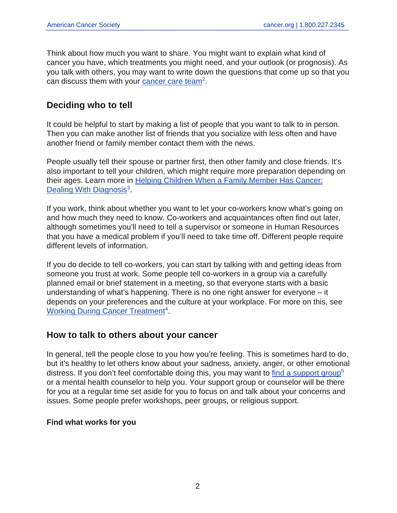Think about how much you want to share. You might want to explain what kind of cancer you have, which treatments you might need, and your outlook (or prognosis). As you talk with others, you may want to write down the questions that come up so that you can discuss them with your [cancer care team](https://www.cancer.org/treatment/treatments-and-side-effects/choosing-your-treatment-team.html)<sup>2</sup>.

# **Deciding who to tell**

It could be helpful to start by making a list of people that you want to talk to in person. Then you can make another list of friends that you socialize with less often and have another friend or family member contact them with the news.

People usually tell their spouse or partner first, then other family and close friends. It's also important to tell your children, which might require more preparation depending on their ages. Learn more in [Helping Children When a Family Member Has Cancer:](https://www.cancer.org/treatment/children-and-cancer/when-a-family-member-has-cancer/dealing-with-diagnosis.html) [Dealing With Diagnosis](https://www.cancer.org/treatment/children-and-cancer/when-a-family-member-has-cancer/dealing-with-diagnosis.html)<sup>3</sup>.

If you work, think about whether you want to let your co-workers know what's going on and how much they need to know. Co-workers and acquaintances often find out later, although sometimes you'll need to tell a supervisor or someone in Human Resources that you have a medical problem if you'll need to take time off. Different people require different levels of information.

If you do decide to tell co-workers, you can start by talking with and getting ideas from someone you trust at work. Some people tell co-workers in a group via a carefully planned email or brief statement in a meeting, so that everyone starts with a basic understanding of what's happening. There is no one right answer for everyone – it depends on your preferences and the culture at your workplace. For more on this, see [Working During Cancer Treatment](https://www.cancer.org/treatment/survivorship-during-and-after-treatment/coping/working-during-cancer-treatment.html)<sup>4</sup>.

## **How to talk to others about your cancer**

In general, tell the people close to you how you're feeling. This is sometimes hard to do, but it's healthy to let others know about your sadness, anxiety, anger, or other emotional distress. If you don't feel comfortable doing this, you may want to [find a support group](https://www.cancer.org/support-programs-and-services/resource-search.html)<sup>5</sup> or a mental health counselor to help you. Your support group or counselor will be there for you at a regular time set aside for you to focus on and talk about your concerns and issues. Some people prefer workshops, peer groups, or religious support.

## **Find what works for you**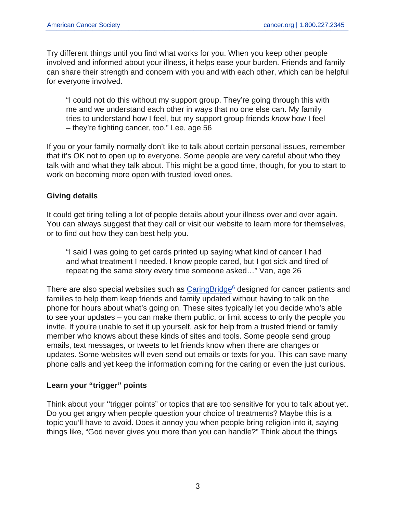Try different things until you find what works for you. When you keep other people involved and informed about your illness, it helps ease your burden. Friends and family can share their strength and concern with you and with each other, which can be helpful for everyone involved.

"I could not do this without my support group. They're going through this with me and we understand each other in ways that no one else can. My family tries to understand how I feel, but my support group friends know how I feel – they're fighting cancer, too." Lee, age 56

If you or your family normally don't like to talk about certain personal issues, remember that it's OK not to open up to everyone. Some people are very careful about who they talk with and what they talk about. This might be a good time, though, for you to start to work on becoming more open with trusted loved ones.

## **Giving details**

It could get tiring telling a lot of people details about your illness over and over again. You can always suggest that they call or visit our website to learn more for themselves, or to find out how they can best help you.

"I said I was going to get cards printed up saying what kind of cancer I had and what treatment I needed. I know people cared, but I got sick and tired of repeating the same story every time someone asked…" Van, age 26

There are also special websites such as  $Caring Bridge<sup>6</sup>$  designed for cancer patients and families to help them keep friends and family updated without having to talk on the phone for hours about what's going on. These sites typically let you decide who's able to see your updates – you can make them public, or limit access to only the people you invite. If you're unable to set it up yourself, ask for help from a trusted friend or family member who knows about these kinds of sites and tools. Some people send group emails, text messages, or tweets to let friends know when there are changes or updates. Some websites will even send out emails or texts for you. This can save many phone calls and yet keep the information coming for the caring or even the just curious.

#### **Learn your "trigger" points**

Think about your ''trigger points" or topics that are too sensitive for you to talk about yet. Do you get angry when people question your choice of treatments? Maybe this is a topic you'll have to avoid. Does it annoy you when people bring religion into it, saying things like, "God never gives you more than you can handle?" Think about the things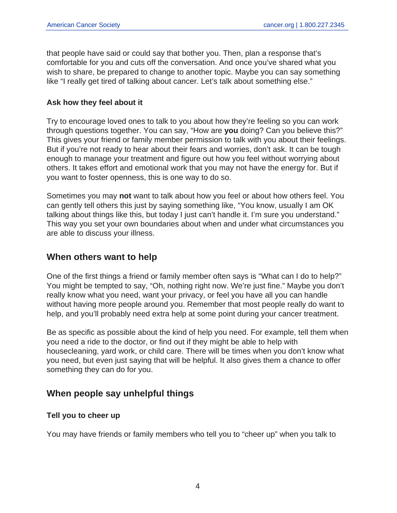that people have said or could say that bother you. Then, plan a response that's comfortable for you and cuts off the conversation. And once you've shared what you wish to share, be prepared to change to another topic. Maybe you can say something like "I really get tired of talking about cancer. Let's talk about something else."

#### **Ask how they feel about it**

Try to encourage loved ones to talk to you about how they're feeling so you can work through questions together. You can say, "How are **you** doing? Can you believe this?" This gives your friend or family member permission to talk with you about their feelings. But if you're not ready to hear about their fears and worries, don't ask. It can be tough enough to manage your treatment and figure out how you feel without worrying about others. It takes effort and emotional work that you may not have the energy for. But if you want to foster openness, this is one way to do so.

Sometimes you may **not** want to talk about how you feel or about how others feel. You can gently tell others this just by saying something like, "You know, usually I am OK talking about things like this, but today I just can't handle it. I'm sure you understand." This way you set your own boundaries about when and under what circumstances you are able to discuss your illness.

## **When others want to help**

One of the first things a friend or family member often says is "What can I do to help?" You might be tempted to say, "Oh, nothing right now. We're just fine." Maybe you don't really know what you need, want your privacy, or feel you have all you can handle without having more people around you. Remember that most people really do want to help, and you'll probably need extra help at some point during your cancer treatment.

Be as specific as possible about the kind of help you need. For example, tell them when you need a ride to the doctor, or find out if they might be able to help with housecleaning, yard work, or child care. There will be times when you don't know what you need, but even just saying that will be helpful. It also gives them a chance to offer something they can do for you.

# **When people say unhelpful things**

## **Tell you to cheer up**

You may have friends or family members who tell you to "cheer up" when you talk to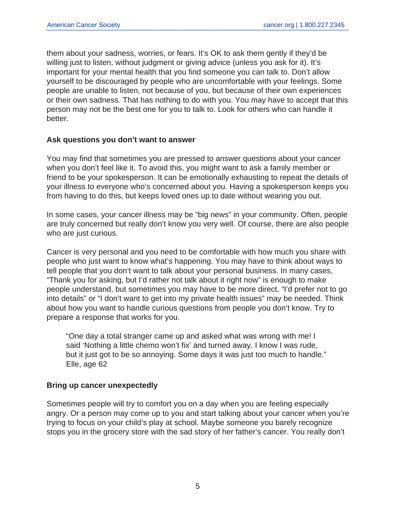them about your sadness, worries, or fears. It's OK to ask them gently if they'd be willing just to listen, without judgment or giving advice (unless you ask for it). It's important for your mental health that you find someone you can talk to. Don't allow yourself to be discouraged by people who are uncomfortable with your feelings. Some people are unable to listen, not because of you, but because of their own experiences or their own sadness. That has nothing to do with you. You may have to accept that this person may not be the best one for you to talk to. Look for others who can handle it better.

#### **Ask questions you don't want to answer**

You may find that sometimes you are pressed to answer questions about your cancer when you don't feel like it. To avoid this, you might want to ask a family member or friend to be your spokesperson. It can be emotionally exhausting to repeat the details of your illness to everyone who's concerned about you. Having a spokesperson keeps you from having to do this, but keeps loved ones up to date without wearing you out.

In some cases, your cancer illness may be "big news" in your community. Often, people are truly concerned but really don't know you very well. Of course, there are also people who are just curious.

Cancer is very personal and you need to be comfortable with how much you share with people who just want to know what's happening. You may have to think about ways to tell people that you don't want to talk about your personal business. In many cases, "Thank you for asking, but I'd rather not talk about it right now" is enough to make people understand, but sometimes you may have to be more direct. "I'd prefer not to go into details" or "I don't want to get into my private health issues" may be needed. Think about how you want to handle curious questions from people you don't know. Try to prepare a response that works for you.

"One day a total stranger came up and asked what was wrong with me! I said 'Nothing a little chemo won't fix' and turned away. I know I was rude, but it just got to be so annoying. Some days it was just too much to handle." Elle, age 62

#### **Bring up cancer unexpectedly**

Sometimes people will try to comfort you on a day when you are feeling especially angry. Or a person may come up to you and start talking about your cancer when you're trying to focus on your child's play at school. Maybe someone you barely recognize stops you in the grocery store with the sad story of her father's cancer. You really don't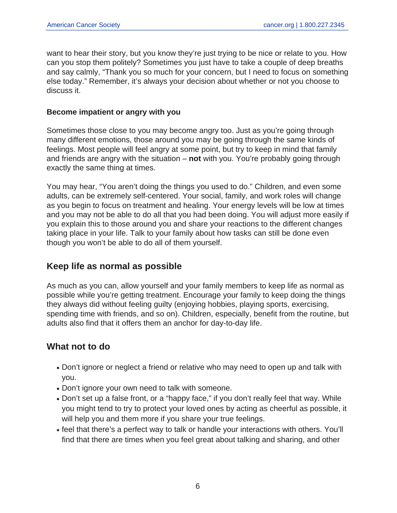want to hear their story, but you know they're just trying to be nice or relate to you. How can you stop them politely? Sometimes you just have to take a couple of deep breaths and say calmly, "Thank you so much for your concern, but I need to focus on something else today." Remember, it's always your decision about whether or not you choose to discuss it.

#### **Become impatient or angry with you**

Sometimes those close to you may become angry too. Just as you're going through many different emotions, those around you may be going through the same kinds of feelings. Most people will feel angry at some point, but try to keep in mind that family and friends are angry with the situation – **not** with you. You're probably going through exactly the same thing at times.

You may hear, "You aren't doing the things you used to do." Children, and even some adults, can be extremely self-centered. Your social, family, and work roles will change as you begin to focus on treatment and healing. Your energy levels will be low at times and you may not be able to do all that you had been doing. You will adjust more easily if you explain this to those around you and share your reactions to the different changes taking place in your life. Talk to your family about how tasks can still be done even though you won't be able to do all of them yourself.

# **Keep life as normal as possible**

As much as you can, allow yourself and your family members to keep life as normal as possible while you're getting treatment. Encourage your family to keep doing the things they always did without feeling guilty (enjoying hobbies, playing sports, exercising, spending time with friends, and so on). Children, especially, benefit from the routine, but adults also find that it offers them an anchor for day-to-day life.

# **What not to do**

- Don't ignore or neglect a friend or relative who may need to open up and talk with you.
- Don't ignore your own need to talk with someone.
- Don't set up a false front, or a "happy face," if you don't really feel that way. While you might tend to try to protect your loved ones by acting as cheerful as possible, it will help you and them more if you share your true feelings.
- feel that there's a perfect way to talk or handle your interactions with others. You'll find that there are times when you feel great about talking and sharing, and other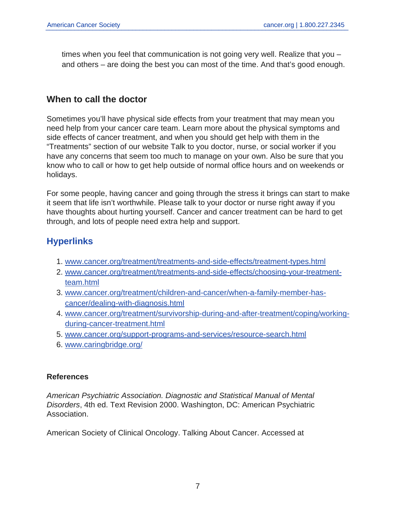times when you feel that communication is not going very well. Realize that you – and others – are doing the best you can most of the time. And that's good enough.

# **When to call the doctor**

Sometimes you'll have physical side effects from your treatment that may mean you need help from your cancer care team. Learn more about the physical symptoms and side effects of cancer treatment, and when you should get help with them in the "Treatments" section of our website Talk to you doctor, nurse, or social worker if you have any concerns that seem too much to manage on your own. Also be sure that you know who to call or how to get help outside of normal office hours and on weekends or holidays.

For some people, having cancer and going through the stress it brings can start to make it seem that life isn't worthwhile. Please talk to your doctor or nurse right away if you have thoughts about hurting yourself. Cancer and cancer treatment can be hard to get through, and lots of people need extra help and support.

# **Hyperlinks**

- 1. [www.cancer.org/treatment/treatments-and-side-effects/treatment-types.html](https://www.cancer.org/treatment/treatments-and-side-effects/treatment-types.html)
- 2. [www.cancer.org/treatment/treatments-and-side-effects/choosing-your-treatment](https://www.cancer.org/treatment/treatments-and-side-effects/choosing-your-treatment-team.html)[team.html](https://www.cancer.org/treatment/treatments-and-side-effects/choosing-your-treatment-team.html)
- 3. [www.cancer.org/treatment/children-and-cancer/when-a-family-member-has](https://www.cancer.org/treatment/children-and-cancer/when-a-family-member-has-cancer/dealing-with-diagnosis.html)[cancer/dealing-with-diagnosis.html](https://www.cancer.org/treatment/children-and-cancer/when-a-family-member-has-cancer/dealing-with-diagnosis.html)
- 4. [www.cancer.org/treatment/survivorship-during-and-after-treatment/coping/working](https://www.cancer.org/treatment/survivorship-during-and-after-treatment/coping/working-during-cancer-treatment.html)[during-cancer-treatment.html](https://www.cancer.org/treatment/survivorship-during-and-after-treatment/coping/working-during-cancer-treatment.html)
- 5. [www.cancer.org/support-programs-and-services/resource-search.html](https://www.cancer.org/support-programs-and-services/resource-search.html)
- 6. [www.caringbridge.org/](https://www.caringbridge.org/)

## **References**

American Psychiatric Association. Diagnostic and Statistical Manual of Mental Disorders, 4th ed. Text Revision 2000. Washington, DC: American Psychiatric Association.

American Society of Clinical Oncology. Talking About Cancer. Accessed at